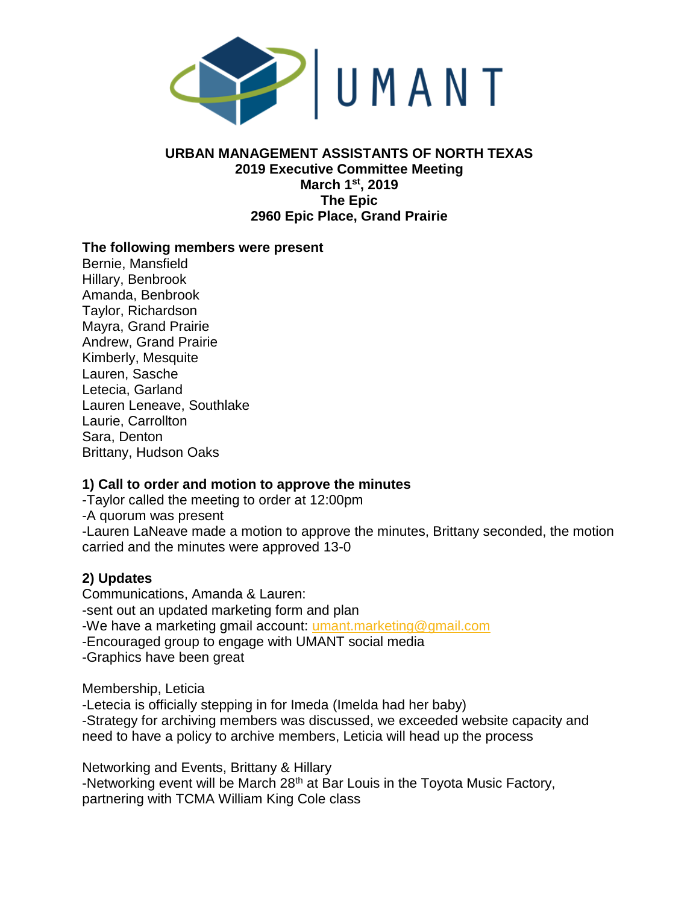

#### **URBAN MANAGEMENT ASSISTANTS OF NORTH TEXAS 2019 Executive Committee Meeting March 1st, 2019 The Epic 2960 Epic Place, Grand Prairie**

#### **The following members were present**

Bernie, Mansfield Hillary, Benbrook Amanda, Benbrook Taylor, Richardson Mayra, Grand Prairie Andrew, Grand Prairie Kimberly, Mesquite Lauren, Sasche Letecia, Garland Lauren Leneave, Southlake Laurie, Carrollton Sara, Denton Brittany, Hudson Oaks

## **1) Call to order and motion to approve the minutes**

-Taylor called the meeting to order at 12:00pm -A quorum was present -Lauren LaNeave made a motion to approve the minutes, Brittany seconded, the motion carried and the minutes were approved 13-0

## **2) Updates**

Communications, Amanda & Lauren: -sent out an updated marketing form and plan -We have a marketing gmail account: [umant.marketing@gmail.com](mailto:umant.marketing@gmail.com) -Encouraged group to engage with UMANT social media -Graphics have been great

Membership, Leticia

-Letecia is officially stepping in for Imeda (Imelda had her baby) -Strategy for archiving members was discussed, we exceeded website capacity and need to have a policy to archive members, Leticia will head up the process

Networking and Events, Brittany & Hillary -Networking event will be March 28<sup>th</sup> at Bar Louis in the Toyota Music Factory, partnering with TCMA William King Cole class